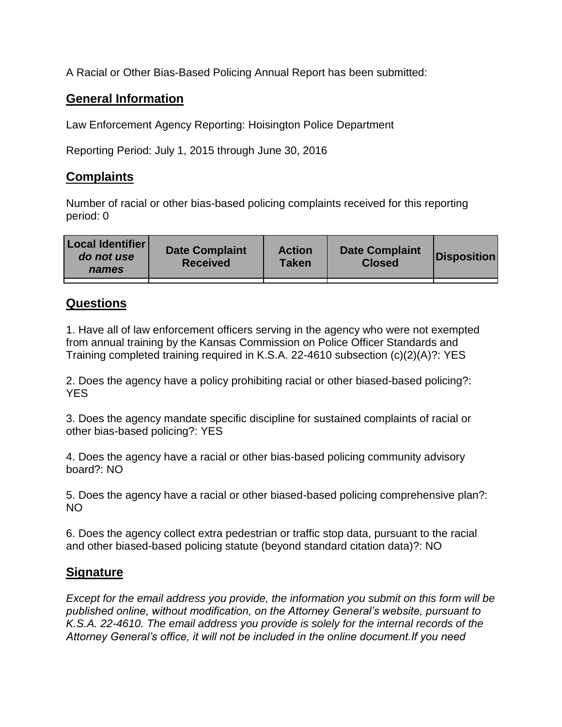A Racial or Other Bias-Based Policing Annual Report has been submitted:

## **General Information**

Law Enforcement Agency Reporting: Hoisington Police Department

Reporting Period: July 1, 2015 through June 30, 2016

## **Complaints**

Number of racial or other bias-based policing complaints received for this reporting period: 0

| <b>Local Identifier</b><br>do not use<br>names | <b>Date Complaint</b><br><b>Received</b> | <b>Action</b><br><b>Taken</b> | <b>Date Complaint</b><br><b>Closed</b> | Disposition |
|------------------------------------------------|------------------------------------------|-------------------------------|----------------------------------------|-------------|
|                                                |                                          |                               |                                        |             |

## **Questions**

1. Have all of law enforcement officers serving in the agency who were not exempted from annual training by the Kansas Commission on Police Officer Standards and Training completed training required in K.S.A. 22-4610 subsection (c)(2)(A)?: YES

2. Does the agency have a policy prohibiting racial or other biased-based policing?: YES

3. Does the agency mandate specific discipline for sustained complaints of racial or other bias-based policing?: YES

4. Does the agency have a racial or other bias-based policing community advisory board?: NO

5. Does the agency have a racial or other biased-based policing comprehensive plan?: NO

6. Does the agency collect extra pedestrian or traffic stop data, pursuant to the racial and other biased-based policing statute (beyond standard citation data)?: NO

## **Signature**

*Except for the email address you provide, the information you submit on this form will be published online, without modification, on the Attorney General's website, pursuant to K.S.A. 22-4610. The email address you provide is solely for the internal records of the Attorney General's office, it will not be included in the online document.If you need*